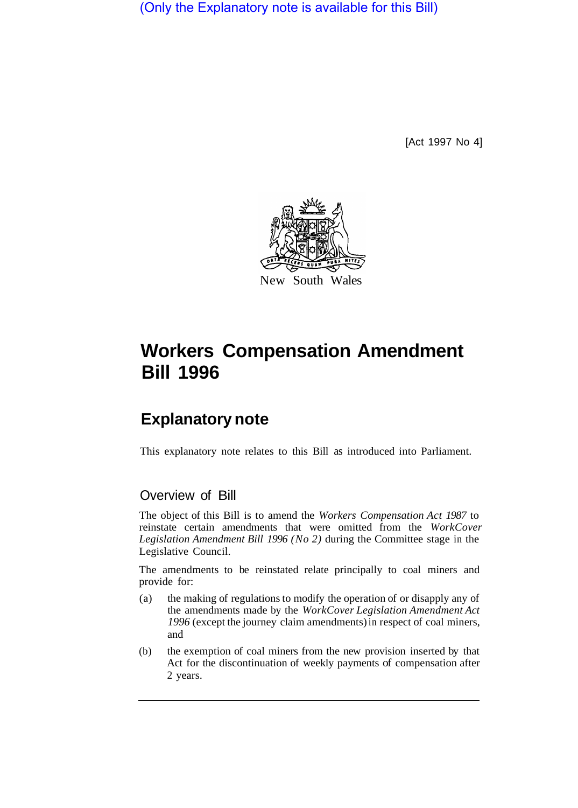(Only the Explanatory note is available for this Bill)

[Act 1997 No 4]



# **Workers Compensation Amendment Bill 1996**

## **Explanatory note**

This explanatory note relates to this Bill as introduced into Parliament.

### Overview of Bill

The object of this Bill is to amend the *Workers Compensation Act 1987* to reinstate certain amendments that were omitted from the *WorkCover Legislation Amendment Bill 1996 (No 2)* during the Committee stage in the Legislative Council.

The amendments to be reinstated relate principally to coal miners and provide for:

- (a) the making of regulations to modify the operation of or disapply any of the amendments made by the *WorkCover Legislation Amendment Act 1996* (except the journey claim amendments) in respect of coal miners, and
- (b) the exemption of coal miners from the new provision inserted by that Act for the discontinuation of weekly payments of compensation after 2 years.